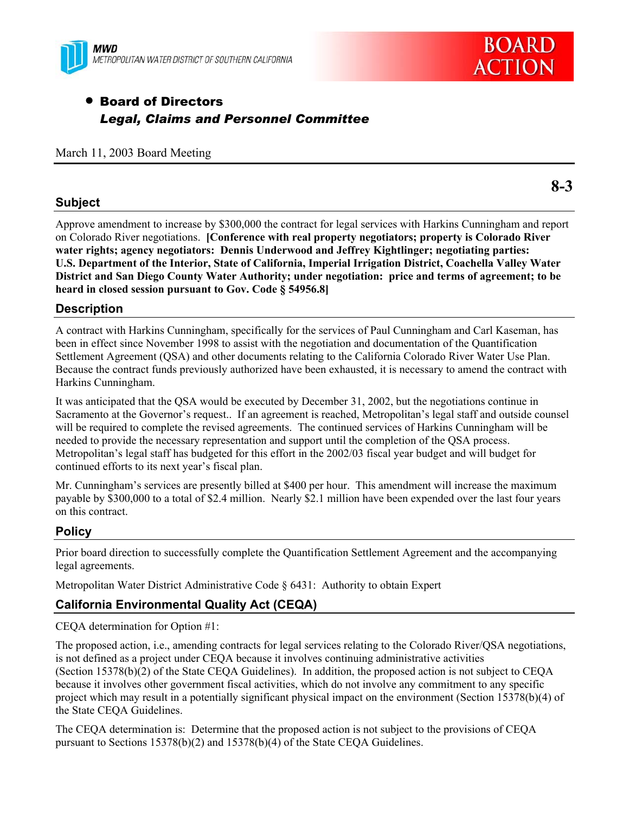



# **• Board of Directors** *Legal, Claims and Personnel Committee*

#### March 11, 2003 Board Meeting

## **Subject**

Approve amendment to increase by \$300,000 the contract for legal services with Harkins Cunningham and report on Colorado River negotiations. **[Conference with real property negotiators; property is Colorado River water rights; agency negotiators: Dennis Underwood and Jeffrey Kightlinger; negotiating parties: U.S. Department of the Interior, State of California, Imperial Irrigation District, Coachella Valley Water District and San Diego County Water Authority; under negotiation: price and terms of agreement; to be heard in closed session pursuant to Gov. Code § 54956.8]**

## **Description**

A contract with Harkins Cunningham, specifically for the services of Paul Cunningham and Carl Kaseman, has been in effect since November 1998 to assist with the negotiation and documentation of the Quantification Settlement Agreement (QSA) and other documents relating to the California Colorado River Water Use Plan. Because the contract funds previously authorized have been exhausted, it is necessary to amend the contract with Harkins Cunningham.

It was anticipated that the QSA would be executed by December 31, 2002, but the negotiations continue in Sacramento at the Governor's request.. If an agreement is reached, Metropolitan's legal staff and outside counsel will be required to complete the revised agreements. The continued services of Harkins Cunningham will be needed to provide the necessary representation and support until the completion of the QSA process. Metropolitan's legal staff has budgeted for this effort in the 2002/03 fiscal year budget and will budget for continued efforts to its next year's fiscal plan.

Mr. Cunningham's services are presently billed at \$400 per hour. This amendment will increase the maximum payable by \$300,000 to a total of \$2.4 million. Nearly \$2.1 million have been expended over the last four years on this contract.

## **Policy**

Prior board direction to successfully complete the Quantification Settlement Agreement and the accompanying legal agreements.

Metropolitan Water District Administrative Code § 6431: Authority to obtain Expert

## **California Environmental Quality Act (CEQA)**

CEQA determination for Option #1:

The proposed action, i.e., amending contracts for legal services relating to the Colorado River/QSA negotiations, is not defined as a project under CEQA because it involves continuing administrative activities (Section 15378(b)(2) of the State CEQA Guidelines). In addition, the proposed action is not subject to CEQA because it involves other government fiscal activities, which do not involve any commitment to any specific project which may result in a potentially significant physical impact on the environment (Section 15378(b)(4) of the State CEQA Guidelines.

The CEQA determination is: Determine that the proposed action is not subject to the provisions of CEQA pursuant to Sections 15378(b)(2) and 15378(b)(4) of the State CEQA Guidelines.

**8-3**